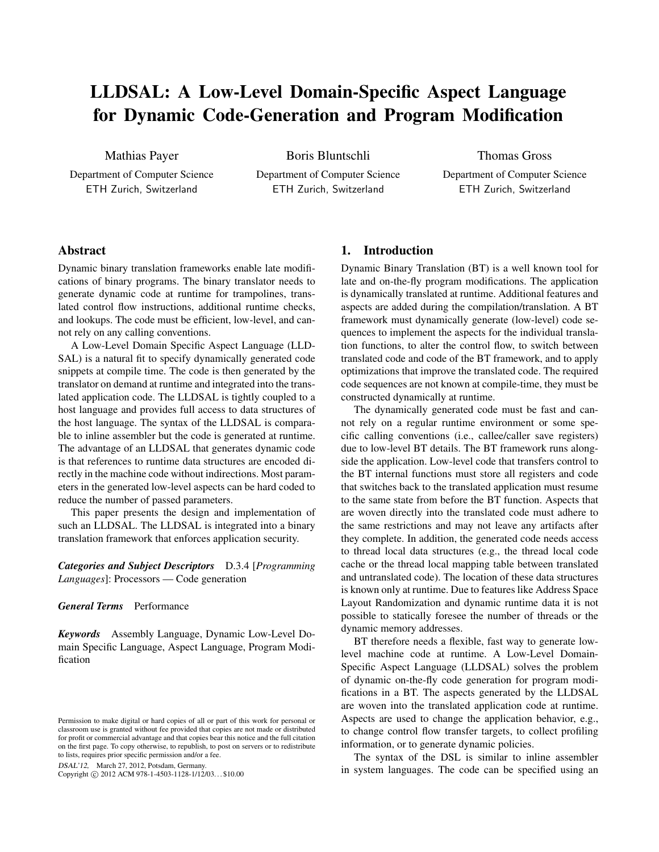# LLDSAL: A Low-Level Domain-Specific Aspect Language for Dynamic Code-Generation and Program Modification

Mathias Payer

Department of Computer Science ETH Zurich, Switzerland

Boris Bluntschli

ETH Zurich, Switzerland

Department of Computer Science

Thomas Gross Department of Computer Science ETH Zurich, Switzerland

# Abstract

Dynamic binary translation frameworks enable late modifications of binary programs. The binary translator needs to generate dynamic code at runtime for trampolines, translated control flow instructions, additional runtime checks, and lookups. The code must be efficient, low-level, and cannot rely on any calling conventions.

A Low-Level Domain Specific Aspect Language (LLD-SAL) is a natural fit to specify dynamically generated code snippets at compile time. The code is then generated by the translator on demand at runtime and integrated into the translated application code. The LLDSAL is tightly coupled to a host language and provides full access to data structures of the host language. The syntax of the LLDSAL is comparable to inline assembler but the code is generated at runtime. The advantage of an LLDSAL that generates dynamic code is that references to runtime data structures are encoded directly in the machine code without indirections. Most parameters in the generated low-level aspects can be hard coded to reduce the number of passed parameters.

This paper presents the design and implementation of such an LLDSAL. The LLDSAL is integrated into a binary translation framework that enforces application security.

*Categories and Subject Descriptors* D.3.4 [*Programming Languages*]: Processors — Code generation

## *General Terms* Performance

*Keywords* Assembly Language, Dynamic Low-Level Domain Specific Language, Aspect Language, Program Modification

DSAL'12, March 27, 2012, Potsdam, Germany.

Copyright © 2012 ACM 978-1-4503-1128-1/12/03... \$10.00

## 1. Introduction

Dynamic Binary Translation (BT) is a well known tool for late and on-the-fly program modifications. The application is dynamically translated at runtime. Additional features and aspects are added during the compilation/translation. A BT framework must dynamically generate (low-level) code sequences to implement the aspects for the individual translation functions, to alter the control flow, to switch between translated code and code of the BT framework, and to apply optimizations that improve the translated code. The required code sequences are not known at compile-time, they must be constructed dynamically at runtime.

The dynamically generated code must be fast and cannot rely on a regular runtime environment or some specific calling conventions (i.e., callee/caller save registers) due to low-level BT details. The BT framework runs alongside the application. Low-level code that transfers control to the BT internal functions must store all registers and code that switches back to the translated application must resume to the same state from before the BT function. Aspects that are woven directly into the translated code must adhere to the same restrictions and may not leave any artifacts after they complete. In addition, the generated code needs access to thread local data structures (e.g., the thread local code cache or the thread local mapping table between translated and untranslated code). The location of these data structures is known only at runtime. Due to features like Address Space Layout Randomization and dynamic runtime data it is not possible to statically foresee the number of threads or the dynamic memory addresses.

BT therefore needs a flexible, fast way to generate lowlevel machine code at runtime. A Low-Level Domain-Specific Aspect Language (LLDSAL) solves the problem of dynamic on-the-fly code generation for program modifications in a BT. The aspects generated by the LLDSAL are woven into the translated application code at runtime. Aspects are used to change the application behavior, e.g., to change control flow transfer targets, to collect profiling information, or to generate dynamic policies.

The syntax of the DSL is similar to inline assembler in system languages. The code can be specified using an

Permission to make digital or hard copies of all or part of this work for personal or classroom use is granted without fee provided that copies are not made or distributed for profit or commercial advantage and that copies bear this notice and the full citation on the first page. To copy otherwise, to republish, to post on servers or to redistribute to lists, requires prior specific permission and/or a fee.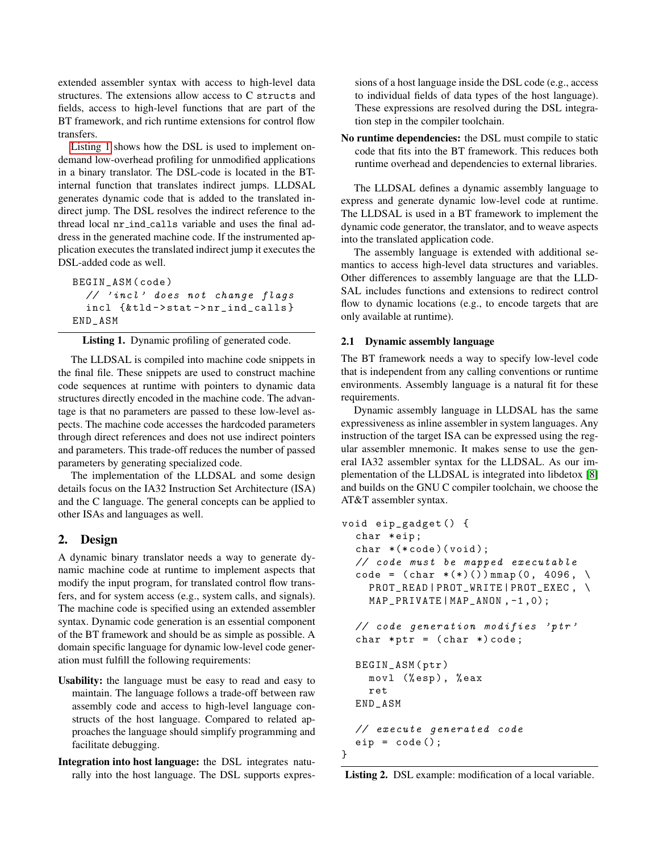extended assembler syntax with access to high-level data structures. The extensions allow access to C structs and fields, access to high-level functions that are part of the BT framework, and rich runtime extensions for control flow transfers.

[Listing 1](#page-1-0) shows how the DSL is used to implement ondemand low-overhead profiling for unmodified applications in a binary translator. The DSL-code is located in the BTinternal function that translates indirect jumps. LLDSAL generates dynamic code that is added to the translated indirect jump. The DSL resolves the indirect reference to the thread local nr ind calls variable and uses the final address in the generated machine code. If the instrumented application executes the translated indirect jump it executes the DSL-added code as well.

```
BEGIN_ASM ( code )
  // ' incl ' does not change flags
  incl {&tld->stat->nr_ind_calls}
END_ASM
```
Listing 1. Dynamic profiling of generated code.

The LLDSAL is compiled into machine code snippets in the final file. These snippets are used to construct machine code sequences at runtime with pointers to dynamic data structures directly encoded in the machine code. The advantage is that no parameters are passed to these low-level aspects. The machine code accesses the hardcoded parameters through direct references and does not use indirect pointers and parameters. This trade-off reduces the number of passed parameters by generating specialized code.

The implementation of the LLDSAL and some design details focus on the IA32 Instruction Set Architecture (ISA) and the C language. The general concepts can be applied to other ISAs and languages as well.

# 2. Design

A dynamic binary translator needs a way to generate dynamic machine code at runtime to implement aspects that modify the input program, for translated control flow transfers, and for system access (e.g., system calls, and signals). The machine code is specified using an extended assembler syntax. Dynamic code generation is an essential component of the BT framework and should be as simple as possible. A domain specific language for dynamic low-level code generation must fulfill the following requirements:

- Usability: the language must be easy to read and easy to maintain. The language follows a trade-off between raw assembly code and access to high-level language constructs of the host language. Compared to related approaches the language should simplify programming and facilitate debugging.
- Integration into host language: the DSL integrates naturally into the host language. The DSL supports expres-

sions of a host language inside the DSL code (e.g., access to individual fields of data types of the host language). These expressions are resolved during the DSL integration step in the compiler toolchain.

No runtime dependencies: the DSL must compile to static code that fits into the BT framework. This reduces both runtime overhead and dependencies to external libraries.

The LLDSAL defines a dynamic assembly language to express and generate dynamic low-level code at runtime. The LLDSAL is used in a BT framework to implement the dynamic code generator, the translator, and to weave aspects into the translated application code.

The assembly language is extended with additional semantics to access high-level data structures and variables. Other differences to assembly language are that the LLD-SAL includes functions and extensions to redirect control flow to dynamic locations (e.g., to encode targets that are only available at runtime).

## 2.1 Dynamic assembly language

The BT framework needs a way to specify low-level code that is independent from any calling conventions or runtime environments. Assembly language is a natural fit for these requirements.

Dynamic assembly language in LLDSAL has the same expressiveness as inline assembler in system languages. Any instruction of the target ISA can be expressed using the regular assembler mnemonic. It makes sense to use the general IA32 assembler syntax for the LLDSAL. As our implementation of the LLDSAL is integrated into libdetox [\[8\]](#page-4-0) and builds on the GNU C compiler toolchain, we choose the AT&T assembler syntax.

```
void eip_gadget () {
  char *eip;
  char *(*code)(void);// code must be mapped executable
  code = (char *(*)())mmap(0, 4096, \setminusPROT_READ | PROT_WRITE | PROT_EXEC , \
    MAP_PRIVATE | MAP_ANON, -1,0);
  // code generation modifies ' ptr '
  char *ptr = (char *)code;BEGIN_ASM ( ptr )
    movl (%esp), %eax
    ret
  END_ASM
  // execute generated code
  eip = code();
}
```
Listing 2. DSL example: modification of a local variable.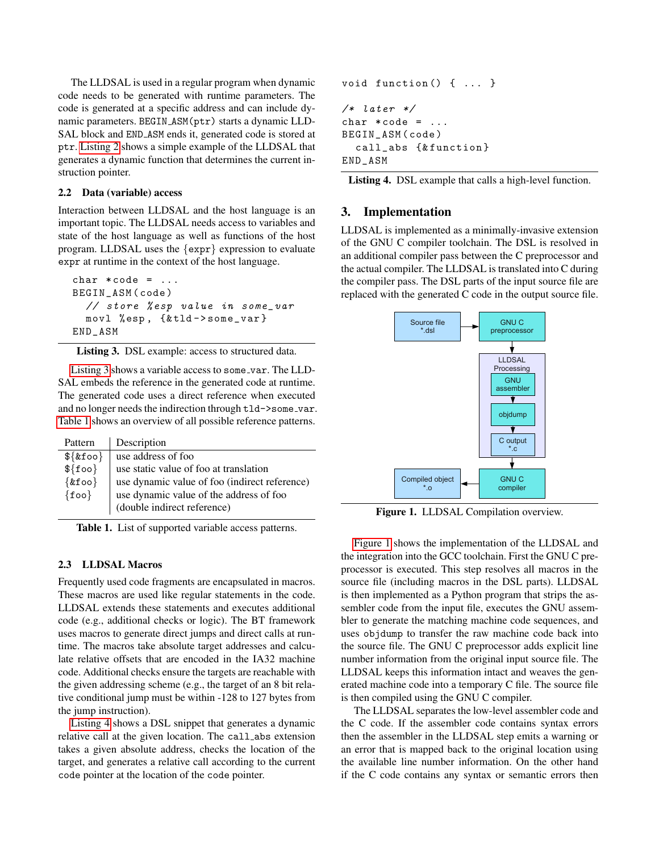The LLDSAL is used in a regular program when dynamic code needs to be generated with runtime parameters. The code is generated at a specific address and can include dynamic parameters. BEGIN ASM(ptr) starts a dynamic LLD-SAL block and END ASM ends it, generated code is stored at ptr. [Listing 2](#page-1-1) shows a simple example of the LLDSAL that generates a dynamic function that determines the current instruction pointer.

## 2.2 Data (variable) access

Interaction between LLDSAL and the host language is an important topic. The LLDSAL needs access to variables and state of the host language as well as functions of the host program. LLDSAL uses the {expr} expression to evaluate expr at runtime in the context of the host language.

```
char * code = ...BEGIN_ASM ( code )
  // store % esp value in some_var
  movl % esp , {& tld - > some_var }
END_ASM
```
Listing 3. DSL example: access to structured data.

[Listing 3](#page-2-0) shows a variable access to some\_var. The LLD-SAL embeds the reference in the generated code at runtime. The generated code uses a direct reference when executed and no longer needs the indirection through tld->some\_var. [Table 1](#page-2-1) shows an overview of all possible reference patterns.

| Pattern                | Description                                   |
|------------------------|-----------------------------------------------|
| $\{\&$ foo}            | use address of foo                            |
| $\{foo\}$              | use static value of foo at translation        |
| $\{$ <i>k</i> foo $\}$ | use dynamic value of foo (indirect reference) |
| $\{foo\}$              | use dynamic value of the address of foo       |
|                        | (double indirect reference)                   |

<span id="page-2-1"></span>Table 1. List of supported variable access patterns.

## 2.3 LLDSAL Macros

Frequently used code fragments are encapsulated in macros. These macros are used like regular statements in the code. LLDSAL extends these statements and executes additional code (e.g., additional checks or logic). The BT framework uses macros to generate direct jumps and direct calls at runtime. The macros take absolute target addresses and calculate relative offsets that are encoded in the IA32 machine code. Additional checks ensure the targets are reachable with the given addressing scheme (e.g., the target of an 8 bit relative conditional jump must be within -128 to 127 bytes from the jump instruction).

[Listing 4](#page-2-2) shows a DSL snippet that generates a dynamic relative call at the given location. The call abs extension takes a given absolute address, checks the location of the target, and generates a relative call according to the current code pointer at the location of the code pointer.

```
void function () { ... }
/* later */
char * code = ...BEGIN_ASM ( code )
  call_abs {& function }
END_ASM
```
Listing 4. DSL example that calls a high-level function.

# 3. Implementation

LLDSAL is implemented as a minimally-invasive extension of the GNU C compiler toolchain. The DSL is resolved in an additional compiler pass between the C preprocessor and the actual compiler. The LLDSAL is translated into C during the compiler pass. The DSL parts of the input source file are replaced with the generated C code in the output source file.



<span id="page-2-3"></span>Figure 1. LLDSAL Compilation overview.

[Figure 1](#page-2-3) shows the implementation of the LLDSAL and the integration into the GCC toolchain. First the GNU C preprocessor is executed. This step resolves all macros in the source file (including macros in the DSL parts). LLDSAL is then implemented as a Python program that strips the assembler code from the input file, executes the GNU assembler to generate the matching machine code sequences, and uses objdump to transfer the raw machine code back into the source file. The GNU C preprocessor adds explicit line number information from the original input source file. The LLDSAL keeps this information intact and weaves the generated machine code into a temporary C file. The source file is then compiled using the GNU C compiler.

The LLDSAL separates the low-level assembler code and the C code. If the assembler code contains syntax errors then the assembler in the LLDSAL step emits a warning or an error that is mapped back to the original location using the available line number information. On the other hand if the C code contains any syntax or semantic errors then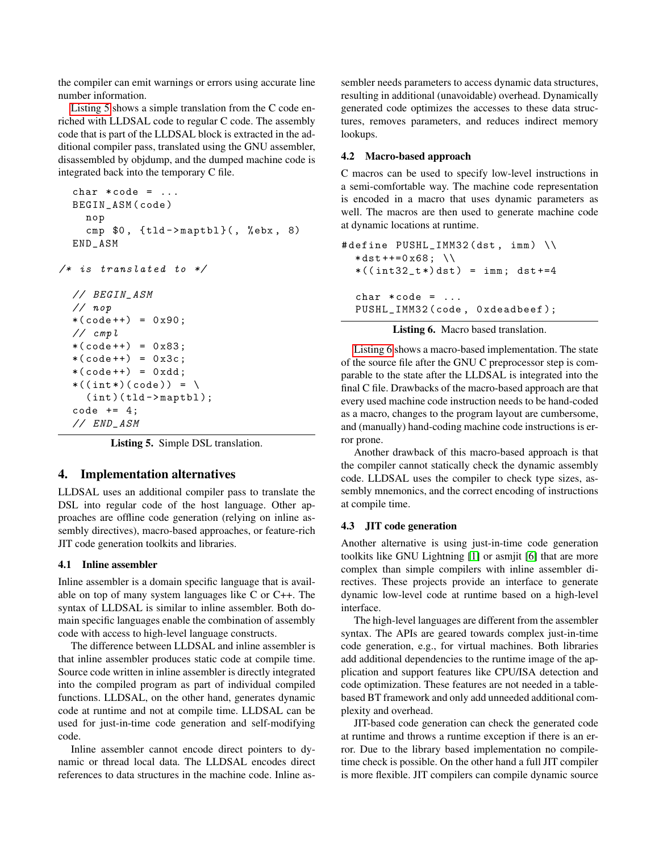the compiler can emit warnings or errors using accurate line number information.

[Listing 5](#page-3-0) shows a simple translation from the C code enriched with LLDSAL code to regular C code. The assembly code that is part of the LLDSAL block is extracted in the additional compiler pass, translated using the GNU assembler, disassembled by objdump, and the dumped machine code is integrated back into the temporary C file.

```
char * code = ...BEGIN_ASM ( code )
    nop
    cmp $0 , { tld - > maptbl }( , % ebx , 8)
  END_ASM
/* is translated to */
  // BEGIN_ASM
  // nop
  *(code++) = 0x90;// cmpl
  *(code++) = 0x83;*(code++) = 0x3c;*(code++) = 0 x d;
  *((int*)({code}) ) = \backslash(int) (tld ->maptbl);
  code += 4;// END_ASM
```

|  |  | Listing 5. Simple DSL translation. |
|--|--|------------------------------------|
|--|--|------------------------------------|

## 4. Implementation alternatives

LLDSAL uses an additional compiler pass to translate the DSL into regular code of the host language. Other approaches are offline code generation (relying on inline assembly directives), macro-based approaches, or feature-rich JIT code generation toolkits and libraries.

#### 4.1 Inline assembler

Inline assembler is a domain specific language that is available on top of many system languages like C or C++. The syntax of LLDSAL is similar to inline assembler. Both domain specific languages enable the combination of assembly code with access to high-level language constructs.

The difference between LLDSAL and inline assembler is that inline assembler produces static code at compile time. Source code written in inline assembler is directly integrated into the compiled program as part of individual compiled functions. LLDSAL, on the other hand, generates dynamic code at runtime and not at compile time. LLDSAL can be used for just-in-time code generation and self-modifying code.

Inline assembler cannot encode direct pointers to dynamic or thread local data. The LLDSAL encodes direct references to data structures in the machine code. Inline assembler needs parameters to access dynamic data structures, resulting in additional (unavoidable) overhead. Dynamically generated code optimizes the accesses to these data structures, removes parameters, and reduces indirect memory lookups.

#### 4.2 Macro-based approach

C macros can be used to specify low-level instructions in a semi-comfortable way. The machine code representation is encoded in a macro that uses dynamic parameters as well. The macros are then used to generate machine code at dynamic locations at runtime.

```
#define PUSHL_IMM32(dst, imm) \\
  * dst + + = 0 x 68; \\
  *((int32_t*) dst) = imm; dst += 4char * code = ...PUSHL_IMM32 ( code , 0 xdeadbeef );
```
#### Listing 6. Macro based translation.

[Listing 6](#page-3-1) shows a macro-based implementation. The state of the source file after the GNU C preprocessor step is comparable to the state after the LLDSAL is integrated into the final C file. Drawbacks of the macro-based approach are that every used machine code instruction needs to be hand-coded as a macro, changes to the program layout are cumbersome, and (manually) hand-coding machine code instructions is error prone.

Another drawback of this macro-based approach is that the compiler cannot statically check the dynamic assembly code. LLDSAL uses the compiler to check type sizes, assembly mnemonics, and the correct encoding of instructions at compile time.

#### 4.3 JIT code generation

Another alternative is using just-in-time code generation toolkits like GNU Lightning [\[1\]](#page-4-1) or asmjit [\[6\]](#page-4-2) that are more complex than simple compilers with inline assembler directives. These projects provide an interface to generate dynamic low-level code at runtime based on a high-level interface.

The high-level languages are different from the assembler syntax. The APIs are geared towards complex just-in-time code generation, e.g., for virtual machines. Both libraries add additional dependencies to the runtime image of the application and support features like CPU/ISA detection and code optimization. These features are not needed in a tablebased BT framework and only add unneeded additional complexity and overhead.

JIT-based code generation can check the generated code at runtime and throws a runtime exception if there is an error. Due to the library based implementation no compiletime check is possible. On the other hand a full JIT compiler is more flexible. JIT compilers can compile dynamic source